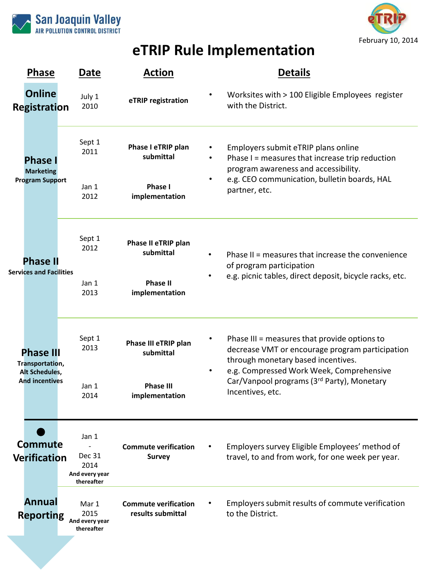



# **eTRIP Rule Implementation**

| <b>Phase</b>                                                                          | Date                                                    | <b>Action</b>                                                           | <b>Details</b>                                                                                                                                                                                   |                                                 |
|---------------------------------------------------------------------------------------|---------------------------------------------------------|-------------------------------------------------------------------------|--------------------------------------------------------------------------------------------------------------------------------------------------------------------------------------------------|-------------------------------------------------|
| <b>Online</b><br>Registration                                                         | July 1<br>2010                                          | eTRIP registration                                                      | Worksites with > 100 Eligible Employees register<br>with the District.                                                                                                                           |                                                 |
| <b>Phase</b><br><b>Marketing</b><br><b>Program Support</b>                            | Sept 1<br>2011<br>Jan 1<br>2012                         | Phase I eTRIP plan<br>submittal<br>Phase I<br>implementation            | Employers submit eTRIP plans online<br>Phase I = measures that increase trip reduction<br>program awareness and accessibility.<br>e.g. CEO communication, bulletin boards, HAL<br>partner, etc.  |                                                 |
| <b>Phase II</b><br><b>Services and Facilities</b>                                     | Sept 1<br>2012<br>Jan 1<br>2013                         | Phase II eTRIP plan<br>submittal<br><b>Phase II</b><br>implementation   | Phase II = measures that increase the convenience<br>of program participation<br>e.g. picnic tables, direct deposit, bicycle racks, etc.                                                         |                                                 |
| <b>Phase III</b><br>Transportation,<br><b>Alt Schedules,</b><br><b>And incentives</b> | Sept 1<br>2013<br>Jan 1<br>2014                         | Phase III eTRIP plan<br>submittal<br><b>Phase III</b><br>implementation | Phase III = measures that provide options to<br>through monetary based incentives.<br>e.g. Compressed Work Week, Comprehensive<br>Car/Vanpool programs (3rd Party), Monetary<br>Incentives, etc. | decrease VMT or encourage program participation |
| <b>Commute</b><br><b>Verification</b>                                                 | Jan 1<br>Dec 31<br>2014<br>And every year<br>thereafter | <b>Commute verification</b><br><b>Survey</b>                            | Employers survey Eligible Employees' method of<br>travel, to and from work, for one week per year.                                                                                               |                                                 |
| Annual<br><b>Reporting</b>                                                            | Mar 1<br>2015<br>And every year<br>thereafter           | <b>Commute verification</b><br>results submittal                        | Employers submit results of commute verification<br>to the District.                                                                                                                             |                                                 |